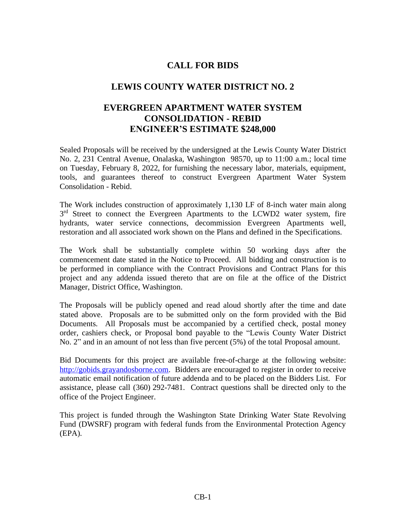## **CALL FOR BIDS**

## **LEWIS COUNTY WATER DISTRICT NO. 2**

## **EVERGREEN APARTMENT WATER SYSTEM CONSOLIDATION - REBID ENGINEER'S ESTIMATE \$248,000**

Sealed Proposals will be received by the undersigned at the Lewis County Water District No. 2, 231 Central Avenue, Onalaska, Washington 98570, up to 11:00 a.m.; local time on Tuesday, February 8, 2022, for furnishing the necessary labor, materials, equipment, tools, and guarantees thereof to construct Evergreen Apartment Water System Consolidation - Rebid.

The Work includes construction of approximately 1,130 LF of 8-inch water main along 3<sup>rd</sup> Street to connect the Evergreen Apartments to the LCWD2 water system, fire hydrants, water service connections, decommission Evergreen Apartments well, restoration and all associated work shown on the Plans and defined in the Specifications.

The Work shall be substantially complete within 50 working days after the commencement date stated in the Notice to Proceed. All bidding and construction is to be performed in compliance with the Contract Provisions and Contract Plans for this project and any addenda issued thereto that are on file at the office of the District Manager, District Office, Washington.

The Proposals will be publicly opened and read aloud shortly after the time and date stated above. Proposals are to be submitted only on the form provided with the Bid Documents. All Proposals must be accompanied by a certified check, postal money order, cashiers check, or Proposal bond payable to the "Lewis County Water District No. 2" and in an amount of not less than five percent (5%) of the total Proposal amount.

Bid Documents for this project are available free-of-charge at the following website: [http://gobids.grayandosborne.com.](http://gobids.grayandosborne.com/) Bidders are encouraged to register in order to receive automatic email notification of future addenda and to be placed on the Bidders List. For assistance, please call (360) 292-7481. Contract questions shall be directed only to the office of the Project Engineer.

This project is funded through the Washington State Drinking Water State Revolving Fund (DWSRF) program with federal funds from the Environmental Protection Agency (EPA).